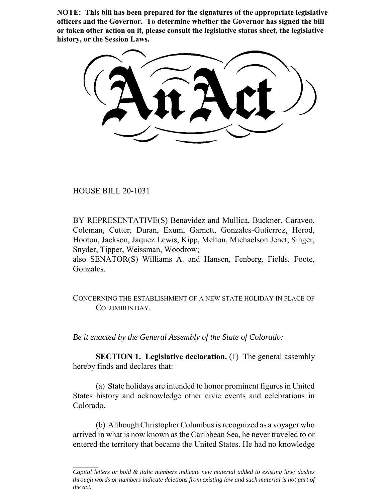**NOTE: This bill has been prepared for the signatures of the appropriate legislative officers and the Governor. To determine whether the Governor has signed the bill or taken other action on it, please consult the legislative status sheet, the legislative history, or the Session Laws.**

HOUSE BILL 20-1031

BY REPRESENTATIVE(S) Benavidez and Mullica, Buckner, Caraveo, Coleman, Cutter, Duran, Exum, Garnett, Gonzales-Gutierrez, Herod, Hooton, Jackson, Jaquez Lewis, Kipp, Melton, Michaelson Jenet, Singer, Snyder, Tipper, Weissman, Woodrow;

also SENATOR(S) Williams A. and Hansen, Fenberg, Fields, Foote, Gonzales.

CONCERNING THE ESTABLISHMENT OF A NEW STATE HOLIDAY IN PLACE OF COLUMBUS DAY.

*Be it enacted by the General Assembly of the State of Colorado:*

**SECTION 1. Legislative declaration.** (1) The general assembly hereby finds and declares that:

(a) State holidays are intended to honor prominent figures in United States history and acknowledge other civic events and celebrations in Colorado.

(b) Although Christopher Columbus is recognized as a voyager who arrived in what is now known as the Caribbean Sea, he never traveled to or entered the territory that became the United States. He had no knowledge

*Capital letters or bold & italic numbers indicate new material added to existing law; dashes through words or numbers indicate deletions from existing law and such material is not part of the act.*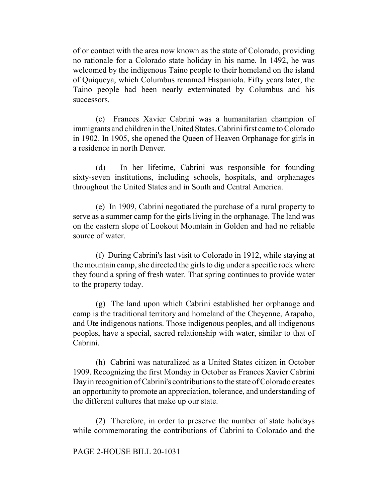of or contact with the area now known as the state of Colorado, providing no rationale for a Colorado state holiday in his name. In 1492, he was welcomed by the indigenous Taino people to their homeland on the island of Quiqueya, which Columbus renamed Hispaniola. Fifty years later, the Taino people had been nearly exterminated by Columbus and his successors.

(c) Frances Xavier Cabrini was a humanitarian champion of immigrants and children in the United States. Cabrini first came to Colorado in 1902. In 1905, she opened the Queen of Heaven Orphanage for girls in a residence in north Denver.

(d) In her lifetime, Cabrini was responsible for founding sixty-seven institutions, including schools, hospitals, and orphanages throughout the United States and in South and Central America.

(e) In 1909, Cabrini negotiated the purchase of a rural property to serve as a summer camp for the girls living in the orphanage. The land was on the eastern slope of Lookout Mountain in Golden and had no reliable source of water.

(f) During Cabrini's last visit to Colorado in 1912, while staying at the mountain camp, she directed the girls to dig under a specific rock where they found a spring of fresh water. That spring continues to provide water to the property today.

(g) The land upon which Cabrini established her orphanage and camp is the traditional territory and homeland of the Cheyenne, Arapaho, and Ute indigenous nations. Those indigenous peoples, and all indigenous peoples, have a special, sacred relationship with water, similar to that of Cabrini.

(h) Cabrini was naturalized as a United States citizen in October 1909. Recognizing the first Monday in October as Frances Xavier Cabrini Day in recognition of Cabrini's contributions to the state of Colorado creates an opportunity to promote an appreciation, tolerance, and understanding of the different cultures that make up our state.

(2) Therefore, in order to preserve the number of state holidays while commemorating the contributions of Cabrini to Colorado and the

## PAGE 2-HOUSE BILL 20-1031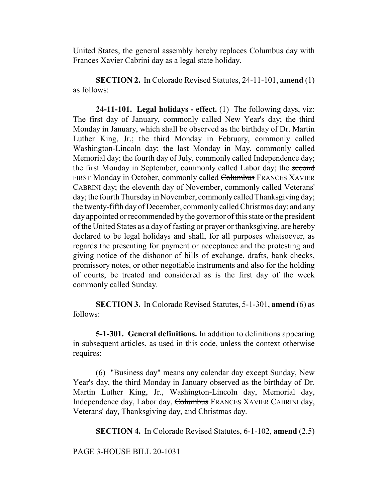United States, the general assembly hereby replaces Columbus day with Frances Xavier Cabrini day as a legal state holiday.

**SECTION 2.** In Colorado Revised Statutes, 24-11-101, **amend** (1) as follows:

**24-11-101. Legal holidays - effect.** (1) The following days, viz: The first day of January, commonly called New Year's day; the third Monday in January, which shall be observed as the birthday of Dr. Martin Luther King, Jr.; the third Monday in February, commonly called Washington-Lincoln day; the last Monday in May, commonly called Memorial day; the fourth day of July, commonly called Independence day; the first Monday in September, commonly called Labor day; the second FIRST Monday in October, commonly called Columbus FRANCES XAVIER CABRINI day; the eleventh day of November, commonly called Veterans' day; the fourth Thursday in November, commonly called Thanksgiving day; the twenty-fifth day of December, commonly called Christmas day; and any day appointed or recommended by the governor of this state or the president of the United States as a day of fasting or prayer or thanksgiving, are hereby declared to be legal holidays and shall, for all purposes whatsoever, as regards the presenting for payment or acceptance and the protesting and giving notice of the dishonor of bills of exchange, drafts, bank checks, promissory notes, or other negotiable instruments and also for the holding of courts, be treated and considered as is the first day of the week commonly called Sunday.

**SECTION 3.** In Colorado Revised Statutes, 5-1-301, **amend** (6) as follows:

**5-1-301. General definitions.** In addition to definitions appearing in subsequent articles, as used in this code, unless the context otherwise requires:

(6) "Business day" means any calendar day except Sunday, New Year's day, the third Monday in January observed as the birthday of Dr. Martin Luther King, Jr., Washington-Lincoln day, Memorial day, Independence day, Labor day, Columbus FRANCES XAVIER CABRINI day, Veterans' day, Thanksgiving day, and Christmas day.

**SECTION 4.** In Colorado Revised Statutes, 6-1-102, **amend** (2.5)

PAGE 3-HOUSE BILL 20-1031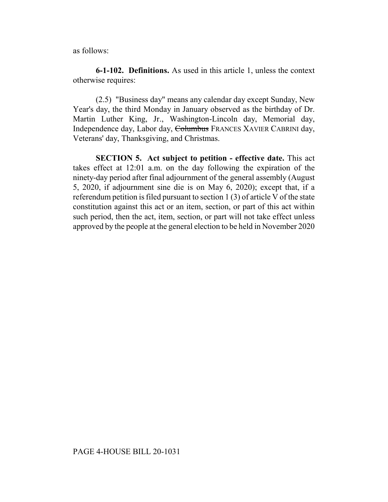as follows:

**6-1-102. Definitions.** As used in this article 1, unless the context otherwise requires:

(2.5) "Business day" means any calendar day except Sunday, New Year's day, the third Monday in January observed as the birthday of Dr. Martin Luther King, Jr., Washington-Lincoln day, Memorial day, Independence day, Labor day, Columbus FRANCES XAVIER CABRINI day, Veterans' day, Thanksgiving, and Christmas.

**SECTION 5. Act subject to petition - effective date.** This act takes effect at 12:01 a.m. on the day following the expiration of the ninety-day period after final adjournment of the general assembly (August 5, 2020, if adjournment sine die is on May 6, 2020); except that, if a referendum petition is filed pursuant to section 1 (3) of article V of the state constitution against this act or an item, section, or part of this act within such period, then the act, item, section, or part will not take effect unless approved by the people at the general election to be held in November 2020